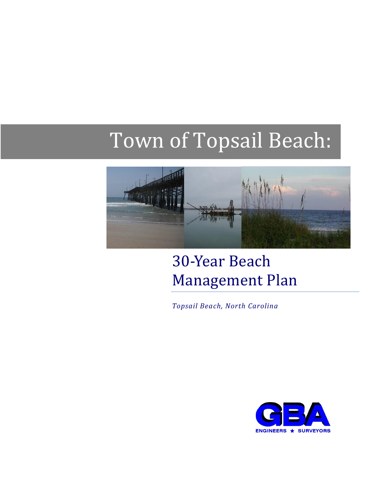# Town of Topsail Beach:



# 30-Year Beach Management Plan

*Topsail Beach, North Carolina*

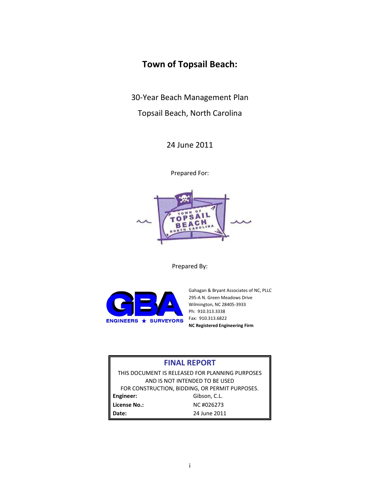# **Town of Topsail Beach:**

30-Year Beach Management Plan

Topsail Beach, North Carolina

24 June 2011

Prepared For:



Prepared By:



Gahagan & Bryant Associates of NC, PLLC 295-A N. Green Meadows Drive Wilmington, NC 28405-3933 Ph: 910.313.3338 Fax: 910.313.6822 **NC Registered Engineering Firm**

#### **FINAL REPORT**

THIS DOCUMENT IS RELEASED FOR PLANNING PURPOSES AND IS NOT INTENDED TO BE USED FOR CONSTRUCTION, BIDDING, OR PERMIT PURPOSES. Engineer: Gibson, C.L. **License No.:** NC #026273 **Date:** 24 June 2011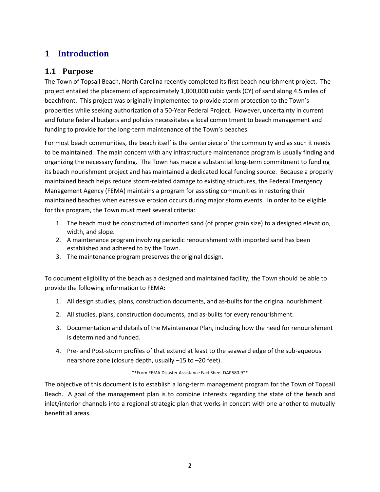# **1 Introduction**

#### **1.1 Purpose**

The Town of Topsail Beach, North Carolina recently completed its first beach nourishment project. The project entailed the placement of approximately 1,000,000 cubic yards (CY) of sand along 4.5 miles of beachfront. This project was originally implemented to provide storm protection to the Town's properties while seeking authorization of a 50-Year Federal Project. However, uncertainty in current and future federal budgets and policies necessitates a local commitment to beach management and funding to provide for the long-term maintenance of the Town's beaches.

For most beach communities, the beach itself is the centerpiece of the community and as such it needs to be maintained. The main concern with any infrastructure maintenance program is usually finding and organizing the necessary funding. The Town has made a substantial long-term commitment to funding its beach nourishment project and has maintained a dedicated local funding source. Because a properly maintained beach helps reduce storm-related damage to existing structures, the Federal Emergency Management Agency (FEMA) maintains a program for assisting communities in restoring their maintained beaches when excessive erosion occurs during major storm events. In order to be eligible for this program, the Town must meet several criteria:

- 1. The beach must be constructed of imported sand (of proper grain size) to a designed elevation, width, and slope.
- 2. A maintenance program involving periodic renourishment with imported sand has been established and adhered to by the Town.
- 3. The maintenance program preserves the original design.

To document eligibility of the beach as a designed and maintained facility, the Town should be able to provide the following information to FEMA:

- 1. All design studies, plans, construction documents, and as-builts for the original nourishment.
- 2. All studies, plans, construction documents, and as-builts for every renourishment.
- 3. Documentation and details of the Maintenance Plan, including how the need for renourishment is determined and funded.
- 4. Pre- and Post-storm profiles of that extend at least to the seaward edge of the sub-aqueous nearshore zone (closure depth, usually –15 to –20 feet).

\*\*From FEMA Disaster Assistance Fact Sheet DAP580.9\*\*

The objective of this document is to establish a long-term management program for the Town of Topsail Beach. A goal of the management plan is to combine interests regarding the state of the beach and inlet/interior channels into a regional strategic plan that works in concert with one another to mutually benefit all areas.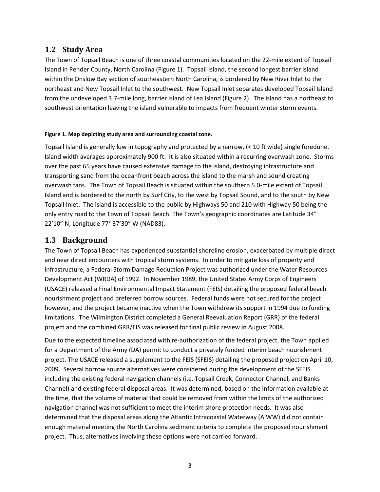#### **1.2 Study Area**

The Town of Topsail Beach is one of three coastal communities located on the 22-mile extent of Topsail Island in Pender County, North Carolina (Figure 1). Topsail Island, the second longest barrier island within the Onslow Bay section of southeastern North Carolina, is bordered by New River Inlet to the northeast and New Topsail Inlet to the southwest. New Topsail Inlet separates developed Topsail Island from the undeveloped 3.7-mile long, barrier island of Lea Island (Figure 2). The island has a northeast to southwest orientation leaving the island vulnerable to impacts from frequent winter storm events.

#### **Figure 1. Map depicting study area and surrounding coastal zone.**

Topsail Island is generally low in topography and protected by a narrow, (< 10 ft wide) single foredune. Island width averages approximately 900 ft. It is also situated within a recurring overwash zone. Storms over the past 65 years have caused extensive damage to the island, destroying infrastructure and transporting sand from the oceanfront beach across the island to the marsh and sound creating overwash fans. The Town of Topsail Beach is situated within the southern 5.0-mile extent of Topsail Island and is bordered to the north by Surf City, to the west by Topsail Sound, and to the south by New Topsail Inlet. The island is accessible to the public by Highways 50 and 210 with Highway 50 being the only entry road to the Town of Topsail Beach. The Town's geographic coordinates are Latitude 34° 22'10" N; Longitude 77° 37'30" W (NAD83).

#### **1.3 Background**

The Town of Topsail Beach has experienced substantial shoreline erosion, exacerbated by multiple direct and near direct encounters with tropical storm systems. In order to mitigate loss of property and infrastructure, a Federal Storm Damage Reduction Project was authorized under the Water Resources Development Act (WRDA) of 1992. In November 1989, the United States Army Corps of Engineers (USACE) released a Final Environmental Impact Statement (FEIS) detailing the proposed federal beach nourishment project and preferred borrow sources. Federal funds were not secured for the project however, and the project became inactive when the Town withdrew its support in 1994 due to funding limitations. The Wilmington District completed a General Reevaluation Report (GRR) of the federal project and the combined GRR/EIS was released for final public review in August 2008.

Due to the expected timeline associated with re-authorization of the federal project, the Town applied for a Department of the Army (DA) permit to conduct a privately funded interim beach nourishment project. The USACE released a supplement to the FEIS (SFEIS) detailing the proposed project on April 10, 2009. Several borrow source alternatives were considered during the development of the SFEIS including the existing federal navigation channels (i.e. Topsail Creek, Connector Channel, and Banks Channel) and existing federal disposal areas. It was determined, based on the information available at the time, that the volume of material that could be removed from within the limits of the authorized navigation channel was not sufficient to meet the interim shore protection needs. It was also determined that the disposal areas along the Atlantic Intracoastal Waterway (AIWW) did not contain enough material meeting the North Carolina sediment criteria to complete the proposed nourishment project. Thus, alternatives involving these options were not carried forward.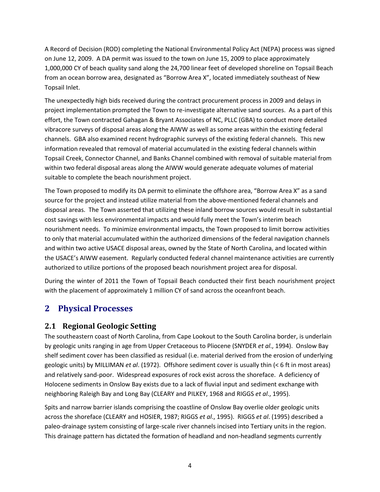A Record of Decision (ROD) completing the National Environmental Policy Act (NEPA) process was signed on June 12, 2009. A DA permit was issued to the town on June 15, 2009 to place approximately 1,000,000 CY of beach quality sand along the 24,700 linear feet of developed shoreline on Topsail Beach from an ocean borrow area, designated as "Borrow Area X", located immediately southeast of New Topsail Inlet.

The unexpectedly high bids received during the contract procurement process in 2009 and delays in project implementation prompted the Town to re-investigate alternative sand sources. As a part of this effort, the Town contracted Gahagan & Bryant Associates of NC, PLLC (GBA) to conduct more detailed vibracore surveys of disposal areas along the AIWW as well as some areas within the existing federal channels. GBA also examined recent hydrographic surveys of the existing federal channels. This new information revealed that removal of material accumulated in the existing federal channels within Topsail Creek, Connector Channel, and Banks Channel combined with removal of suitable material from within two federal disposal areas along the AIWW would generate adequate volumes of material suitable to complete the beach nourishment project.

The Town proposed to modify its DA permit to eliminate the offshore area, "Borrow Area X" as a sand source for the project and instead utilize material from the above-mentioned federal channels and disposal areas. The Town asserted that utilizing these inland borrow sources would result in substantial cost savings with less environmental impacts and would fully meet the Town's interim beach nourishment needs. To minimize environmental impacts, the Town proposed to limit borrow activities to only that material accumulated within the authorized dimensions of the federal navigation channels and within two active USACE disposal areas, owned by the State of North Carolina, and located within the USACE's AIWW easement. Regularly conducted federal channel maintenance activities are currently authorized to utilize portions of the proposed beach nourishment project area for disposal.

During the winter of 2011 the Town of Topsail Beach conducted their first beach nourishment project with the placement of approximately 1 million CY of sand across the oceanfront beach.

# **2 Physical Processes**

#### **2.1 Regional Geologic Setting**

The southeastern coast of North Carolina, from Cape Lookout to the South Carolina border, is underlain by geologic units ranging in age from Upper Cretaceous to Pliocene (SNYDER *et al*., 1994). Onslow Bay shelf sediment cover has been classified as residual (i.e. material derived from the erosion of underlying geologic units) by MILLIMAN *et al*. (1972). Offshore sediment cover is usually thin (< 6 ft in most areas) and relatively sand-poor. Widespread exposures of rock exist across the shoreface. A deficiency of Holocene sediments in Onslow Bay exists due to a lack of fluvial input and sediment exchange with neighboring Raleigh Bay and Long Bay (CLEARY and PILKEY, 1968 and RIGGS *et al*., 1995).

Spits and narrow barrier islands comprising the coastline of Onslow Bay overlie older geologic units across the shoreface (CLEARY and HOSIER, 1987; RIGGS *et al*., 1995). RIGGS *et al*. (1995) described a paleo-drainage system consisting of large-scale river channels incised into Tertiary units in the region. This drainage pattern has dictated the formation of headland and non-headland segments currently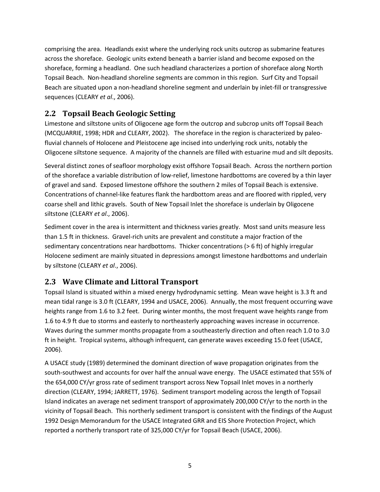comprising the area. Headlands exist where the underlying rock units outcrop as submarine features across the shoreface. Geologic units extend beneath a barrier island and become exposed on the shoreface, forming a headland. One such headland characterizes a portion of shoreface along North Topsail Beach. Non-headland shoreline segments are common in this region. Surf City and Topsail Beach are situated upon a non-headland shoreline segment and underlain by inlet-fill or transgressive sequences (CLEARY *et al*., 2006).

#### **2.2 Topsail Beach Geologic Setting**

Limestone and siltstone units of Oligocene age form the outcrop and subcrop units off Topsail Beach (MCQUARRIE, 1998; HDR and CLEARY, 2002). The shoreface in the region is characterized by paleofluvial channels of Holocene and Pleistocene age incised into underlying rock units, notably the Oligocene siltstone sequence. A majority of the channels are filled with estuarine mud and silt deposits.

Several distinct zones of seafloor morphology exist offshore Topsail Beach. Across the northern portion of the shoreface a variable distribution of low-relief, limestone hardbottoms are covered by a thin layer of gravel and sand. Exposed limestone offshore the southern 2 miles of Topsail Beach is extensive. Concentrations of channel-like features flank the hardbottom areas and are floored with rippled, very coarse shell and lithic gravels. South of New Topsail Inlet the shoreface is underlain by Oligocene siltstone (CLEARY *et al*., 2006).

Sediment cover in the area is intermittent and thickness varies greatly. Most sand units measure less than 1.5 ft in thickness. Gravel-rich units are prevalent and constitute a major fraction of the sedimentary concentrations near hardbottoms. Thicker concentrations (> 6 ft) of highly irregular Holocene sediment are mainly situated in depressions amongst limestone hardbottoms and underlain by siltstone (CLEARY *et al*., 2006).

#### **2.3 Wave Climate and Littoral Transport**

Topsail Island is situated within a mixed energy hydrodynamic setting. Mean wave height is 3.3 ft and mean tidal range is 3.0 ft (CLEARY, 1994 and USACE, 2006). Annually, the most frequent occurring wave heights range from 1.6 to 3.2 feet. During winter months, the most frequent wave heights range from 1.6 to 4.9 ft due to storms and easterly to northeasterly approaching waves increase in occurrence. Waves during the summer months propagate from a southeasterly direction and often reach 1.0 to 3.0 ft in height. Tropical systems, although infrequent, can generate waves exceeding 15.0 feet (USACE, 2006).

A USACE study (1989) determined the dominant direction of wave propagation originates from the south-southwest and accounts for over half the annual wave energy. The USACE estimated that 55% of the 654,000 CY/yr gross rate of sediment transport across New Topsail Inlet moves in a northerly direction (CLEARY, 1994; JARRETT, 1976). Sediment transport modeling across the length of Topsail Island indicates an average net sediment transport of approximately 200,000 CY/yr to the north in the vicinity of Topsail Beach. This northerly sediment transport is consistent with the findings of the August 1992 Design Memorandum for the USACE Integrated GRR and EIS Shore Protection Project, which reported a northerly transport rate of 325,000 CY/yr for Topsail Beach (USACE, 2006).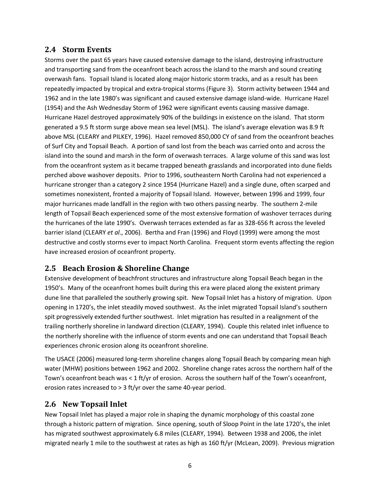#### **2.4 Storm Events**

Storms over the past 65 years have caused extensive damage to the island, destroying infrastructure and transporting sand from the oceanfront beach across the island to the marsh and sound creating overwash fans. Topsail Island is located along major historic storm tracks, and as a result has been repeatedly impacted by tropical and extra-tropical storms (Figure 3). Storm activity between 1944 and 1962 and in the late 1980's was significant and caused extensive damage island-wide. Hurricane Hazel (1954) and the Ash Wednesday Storm of 1962 were significant events causing massive damage. Hurricane Hazel destroyed approximately 90% of the buildings in existence on the island. That storm generated a 9.5 ft storm surge above mean sea level (MSL). The island's average elevation was 8.9 ft above MSL (CLEARY and PILKEY, 1996). Hazel removed 850,000 CY of sand from the oceanfront beaches of Surf City and Topsail Beach. A portion of sand lost from the beach was carried onto and across the island into the sound and marsh in the form of overwash terraces. A large volume of this sand was lost from the oceanfront system as it became trapped beneath grasslands and incorporated into dune fields perched above washover deposits. Prior to 1996, southeastern North Carolina had not experienced a hurricane stronger than a category 2 since 1954 (Hurricane Hazel) and a single dune, often scarped and sometimes nonexistent, fronted a majority of Topsail Island. However, between 1996 and 1999, four major hurricanes made landfall in the region with two others passing nearby. The southern 2-mile length of Topsail Beach experienced some of the most extensive formation of washover terraces during the hurricanes of the late 1990's. Overwash terraces extended as far as 328-656 ft across the leveled barrier island (CLEARY *et al*., 2006). Bertha and Fran (1996) and Floyd (1999) were among the most destructive and costly storms ever to impact North Carolina. Frequent storm events affecting the region have increased erosion of oceanfront property.

#### **2.5 Beach Erosion & Shoreline Change**

Extensive development of beachfront structures and infrastructure along Topsail Beach began in the 1950's. Many of the oceanfront homes built during this era were placed along the existent primary dune line that paralleled the southerly growing spit. New Topsail Inlet has a history of migration. Upon opening in 1720's, the inlet steadily moved southwest. As the inlet migrated Topsail Island's southern spit progressively extended further southwest. Inlet migration has resulted in a realignment of the trailing northerly shoreline in landward direction (CLEARY, 1994). Couple this related inlet influence to the northerly shoreline with the influence of storm events and one can understand that Topsail Beach experiences chronic erosion along its oceanfront shoreline.

The USACE (2006) measured long-term shoreline changes along Topsail Beach by comparing mean high water (MHW) positions between 1962 and 2002. Shoreline change rates across the northern half of the Town's oceanfront beach was < 1 ft/yr of erosion. Across the southern half of the Town's oceanfront, erosion rates increased to > 3 ft/yr over the same 40-year period.

#### **2.6 New Topsail Inlet**

New Topsail Inlet has played a major role in shaping the dynamic morphology of this coastal zone through a historic pattern of migration. Since opening, south of Sloop Point in the late 1720's, the inlet has migrated southwest approximately 6.8 miles (CLEARY, 1994). Between 1938 and 2006, the inlet migrated nearly 1 mile to the southwest at rates as high as 160 ft/yr (McLean, 2009). Previous migration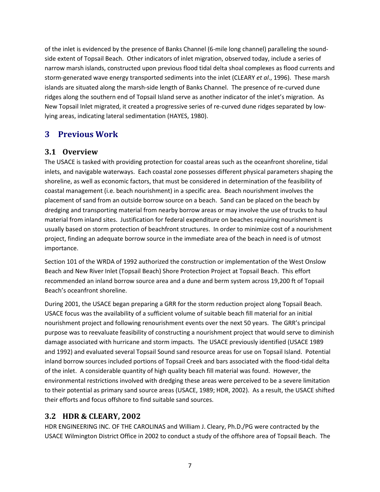of the inlet is evidenced by the presence of Banks Channel (6-mile long channel) paralleling the soundside extent of Topsail Beach. Other indicators of inlet migration, observed today, include a series of narrow marsh islands, constructed upon previous flood tidal delta shoal complexes as flood currents and storm-generated wave energy transported sediments into the inlet (CLEARY *et al*., 1996). These marsh islands are situated along the marsh-side length of Banks Channel. The presence of re-curved dune ridges along the southern end of Topsail Island serve as another indicator of the inlet's migration. As New Topsail Inlet migrated, it created a progressive series of re-curved dune ridges separated by lowlying areas, indicating lateral sedimentation (HAYES, 1980).

## **3 Previous Work**

#### **3.1 Overview**

The USACE is tasked with providing protection for coastal areas such as the oceanfront shoreline, tidal inlets, and navigable waterways. Each coastal zone possesses different physical parameters shaping the shoreline, as well as economic factors, that must be considered in determination of the feasibility of coastal management (i.e. beach nourishment) in a specific area. Beach nourishment involves the placement of sand from an outside borrow source on a beach. Sand can be placed on the beach by dredging and transporting material from nearby borrow areas or may involve the use of trucks to haul material from inland sites. Justification for federal expenditure on beaches requiring nourishment is usually based on storm protection of beachfront structures. In order to minimize cost of a nourishment project, finding an adequate borrow source in the immediate area of the beach in need is of utmost importance.

Section 101 of the WRDA of 1992 authorized the construction or implementation of the West Onslow Beach and New River Inlet (Topsail Beach) Shore Protection Project at Topsail Beach. This effort recommended an inland borrow source area and a dune and berm system across 19,200 ft of Topsail Beach's oceanfront shoreline.

During 2001, the USACE began preparing a GRR for the storm reduction project along Topsail Beach. USACE focus was the availability of a sufficient volume of suitable beach fill material for an initial nourishment project and following renourishment events over the next 50 years. The GRR's principal purpose was to reevaluate feasibility of constructing a nourishment project that would serve to diminish damage associated with hurricane and storm impacts. The USACE previously identified (USACE 1989 and 1992) and evaluated several Topsail Sound sand resource areas for use on Topsail Island. Potential inland borrow sources included portions of Topsail Creek and bars associated with the flood-tidal delta of the inlet. A considerable quantity of high quality beach fill material was found. However, the environmental restrictions involved with dredging these areas were perceived to be a severe limitation to their potential as primary sand source areas (USACE, 1989; HDR, 2002). As a result, the USACE shifted their efforts and focus offshore to find suitable sand sources.

#### **3.2 HDR & CLEARY, 2002**

HDR ENGINEERING INC. OF THE CAROLINAS and William J. Cleary, Ph.D./PG were contracted by the USACE Wilmington District Office in 2002 to conduct a study of the offshore area of Topsail Beach. The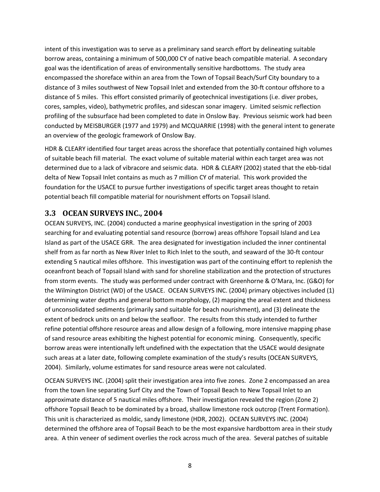intent of this investigation was to serve as a preliminary sand search effort by delineating suitable borrow areas, containing a minimum of 500,000 CY of native beach compatible material. A secondary goal was the identification of areas of environmentally sensitive hardbottoms. The study area encompassed the shoreface within an area from the Town of Topsail Beach/Surf City boundary to a distance of 3 miles southwest of New Topsail Inlet and extended from the 30-ft contour offshore to a distance of 5 miles. This effort consisted primarily of geotechnical investigations (i.e. diver probes, cores, samples, video), bathymetric profiles, and sidescan sonar imagery. Limited seismic reflection profiling of the subsurface had been completed to date in Onslow Bay. Previous seismic work had been conducted by MEISBURGER (1977 and 1979) and MCQUARRIE (1998) with the general intent to generate an overview of the geologic framework of Onslow Bay.

HDR & CLEARY identified four target areas across the shoreface that potentially contained high volumes of suitable beach fill material. The exact volume of suitable material within each target area was not determined due to a lack of vibracore and seismic data. HDR & CLEARY (2002) stated that the ebb-tidal delta of New Topsail Inlet contains as much as 7 million CY of material. This work provided the foundation for the USACE to pursue further investigations of specific target areas thought to retain potential beach fill compatible material for nourishment efforts on Topsail Island.

#### **3.3 OCEAN SURVEYS INC., 2004**

OCEAN SURVEYS, INC. (2004) conducted a marine geophysical investigation in the spring of 2003 searching for and evaluating potential sand resource (borrow) areas offshore Topsail Island and Lea Island as part of the USACE GRR. The area designated for investigation included the inner continental shelf from as far north as New River Inlet to Rich Inlet to the south, and seaward of the 30-ft contour extending 5 nautical miles offshore. This investigation was part of the continuing effort to replenish the oceanfront beach of Topsail Island with sand for shoreline stabilization and the protection of structures from storm events. The study was performed under contract with Greenhorne & O'Mara, Inc. (G&O) for the Wilmington District (WD) of the USACE. OCEAN SURVEYS INC. (2004) primary objectives included (1) determining water depths and general bottom morphology, (2) mapping the areal extent and thickness of unconsolidated sediments (primarily sand suitable for beach nourishment), and (3) delineate the extent of bedrock units on and below the seafloor. The results from this study intended to further refine potential offshore resource areas and allow design of a following, more intensive mapping phase of sand resource areas exhibiting the highest potential for economic mining. Consequently, specific borrow areas were intentionally left undefined with the expectation that the USACE would designate such areas at a later date, following complete examination of the study's results (OCEAN SURVEYS, 2004). Similarly, volume estimates for sand resource areas were not calculated.

OCEAN SURVEYS INC. (2004) split their investigation area into five zones. Zone 2 encompassed an area from the town line separating Surf City and the Town of Topsail Beach to New Topsail Inlet to an approximate distance of 5 nautical miles offshore. Their investigation revealed the region (Zone 2) offshore Topsail Beach to be dominated by a broad, shallow limestone rock outcrop (Trent Formation). This unit is characterized as moldic, sandy limestone (HDR, 2002). OCEAN SURVEYS INC. (2004) determined the offshore area of Topsail Beach to be the most expansive hardbottom area in their study area. A thin veneer of sediment overlies the rock across much of the area. Several patches of suitable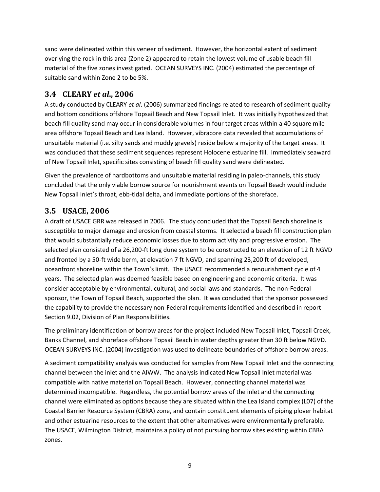sand were delineated within this veneer of sediment. However, the horizontal extent of sediment overlying the rock in this area (Zone 2) appeared to retain the lowest volume of usable beach fill material of the five zones investigated. OCEAN SURVEYS INC. (2004) estimated the percentage of suitable sand within Zone 2 to be 5%.

#### **3.4 CLEARY** *et al***., 2006**

A study conducted by CLEARY *et al*. (2006) summarized findings related to research of sediment quality and bottom conditions offshore Topsail Beach and New Topsail Inlet. It was initially hypothesized that beach fill quality sand may occur in considerable volumes in four target areas within a 40 square mile area offshore Topsail Beach and Lea Island. However, vibracore data revealed that accumulations of unsuitable material (i.e. silty sands and muddy gravels) reside below a majority of the target areas. It was concluded that these sediment sequences represent Holocene estuarine fill. Immediately seaward of New Topsail Inlet, specific sites consisting of beach fill quality sand were delineated.

Given the prevalence of hardbottoms and unsuitable material residing in paleo-channels, this study concluded that the only viable borrow source for nourishment events on Topsail Beach would include New Topsail Inlet's throat, ebb-tidal delta, and immediate portions of the shoreface.

#### **3.5 USACE, 2006**

A draft of USACE GRR was released in 2006. The study concluded that the Topsail Beach shoreline is susceptible to major damage and erosion from coastal storms. It selected a beach fill construction plan that would substantially reduce economic losses due to storm activity and progressive erosion. The selected plan consisted of a 26,200-ft long dune system to be constructed to an elevation of 12 ft NGVD and fronted by a 50-ft wide berm, at elevation 7 ft NGVD, and spanning 23,200 ft of developed, oceanfront shoreline within the Town's limit. The USACE recommended a renourishment cycle of 4 years. The selected plan was deemed feasible based on engineering and economic criteria. It was consider acceptable by environmental, cultural, and social laws and standards. The non-Federal sponsor, the Town of Topsail Beach, supported the plan. It was concluded that the sponsor possessed the capability to provide the necessary non-Federal requirements identified and described in report Section 9.02, Division of Plan Responsibilities.

The preliminary identification of borrow areas for the project included New Topsail Inlet, Topsail Creek, Banks Channel, and shoreface offshore Topsail Beach in water depths greater than 30 ft below NGVD. OCEAN SURVEYS INC. (2004) investigation was used to delineate boundaries of offshore borrow areas.

A sediment compatibility analysis was conducted for samples from New Topsail Inlet and the connecting channel between the inlet and the AIWW. The analysis indicated New Topsail Inlet material was compatible with native material on Topsail Beach. However, connecting channel material was determined incompatible. Regardless, the potential borrow areas of the inlet and the connecting channel were eliminated as options because they are situated within the Lea Island complex (L07) of the Coastal Barrier Resource System (CBRA) zone, and contain constituent elements of piping plover habitat and other estuarine resources to the extent that other alternatives were environmentally preferable. The USACE, Wilmington District, maintains a policy of not pursuing borrow sites existing within CBRA zones.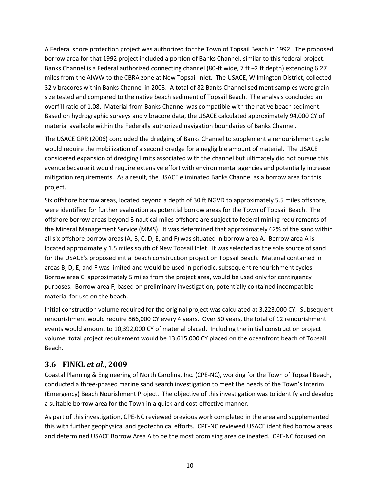A Federal shore protection project was authorized for the Town of Topsail Beach in 1992. The proposed borrow area for that 1992 project included a portion of Banks Channel, similar to this federal project. Banks Channel is a Federal authorized connecting channel (80-ft wide, 7 ft +2 ft depth) extending 6.27 miles from the AIWW to the CBRA zone at New Topsail Inlet. The USACE, Wilmington District, collected 32 vibracores within Banks Channel in 2003. A total of 82 Banks Channel sediment samples were grain size tested and compared to the native beach sediment of Topsail Beach. The analysis concluded an overfill ratio of 1.08. Material from Banks Channel was compatible with the native beach sediment. Based on hydrographic surveys and vibracore data, the USACE calculated approximately 94,000 CY of material available within the Federally authorized navigation boundaries of Banks Channel.

The USACE GRR (2006) concluded the dredging of Banks Channel to supplement a renourishment cycle would require the mobilization of a second dredge for a negligible amount of material. The USACE considered expansion of dredging limits associated with the channel but ultimately did not pursue this avenue because it would require extensive effort with environmental agencies and potentially increase mitigation requirements. As a result, the USACE eliminated Banks Channel as a borrow area for this project.

Six offshore borrow areas, located beyond a depth of 30 ft NGVD to approximately 5.5 miles offshore, were identified for further evaluation as potential borrow areas for the Town of Topsail Beach. The offshore borrow areas beyond 3 nautical miles offshore are subject to federal mining requirements of the Mineral Management Service (MMS). It was determined that approximately 62% of the sand within all six offshore borrow areas (A, B, C, D, E, and F) was situated in borrow area A. Borrow area A is located approximately 1.5 miles south of New Topsail Inlet. It was selected as the sole source of sand for the USACE's proposed initial beach construction project on Topsail Beach. Material contained in areas B, D, E, and F was limited and would be used in periodic, subsequent renourishment cycles. Borrow area C, approximately 5 miles from the project area, would be used only for contingency purposes. Borrow area F, based on preliminary investigation, potentially contained incompatible material for use on the beach.

Initial construction volume required for the original project was calculated at 3,223,000 CY. Subsequent renourishment would require 866,000 CY every 4 years. Over 50 years, the total of 12 renourishment events would amount to 10,392,000 CY of material placed. Including the initial construction project volume, total project requirement would be 13,615,000 CY placed on the oceanfront beach of Topsail Beach.

#### **3.6 FINKL** *et al***., 2009**

Coastal Planning & Engineering of North Carolina, Inc. (CPE-NC), working for the Town of Topsail Beach, conducted a three-phased marine sand search investigation to meet the needs of the Town's Interim (Emergency) Beach Nourishment Project. The objective of this investigation was to identify and develop a suitable borrow area for the Town in a quick and cost-effective manner.

As part of this investigation, CPE-NC reviewed previous work completed in the area and supplemented this with further geophysical and geotechnical efforts. CPE-NC reviewed USACE identified borrow areas and determined USACE Borrow Area A to be the most promising area delineated. CPE-NC focused on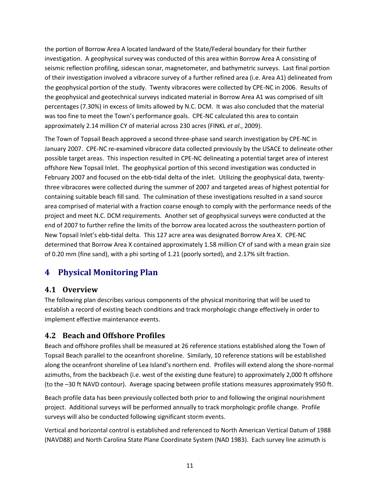the portion of Borrow Area A located landward of the State/Federal boundary for their further investigation. A geophysical survey was conducted of this area within Borrow Area A consisting of seismic reflection profiling, sidescan sonar, magnetometer, and bathymetric surveys. Last final portion of their investigation involved a vibracore survey of a further refined area (i.e. Area A1) delineated from the geophysical portion of the study. Twenty vibracores were collected by CPE-NC in 2006. Results of the geophysical and geotechnical surveys indicated material in Borrow Area A1 was comprised of silt percentages (7.30%) in excess of limits allowed by N.C. DCM. It was also concluded that the material was too fine to meet the Town's performance goals. CPE-NC calculated this area to contain approximately 2.14 million CY of material across 230 acres (FINKL *et al*., 2009).

The Town of Topsail Beach approved a second three-phase sand search investigation by CPE-NC in January 2007. CPE-NC re-examined vibracore data collected previously by the USACE to delineate other possible target areas. This inspection resulted in CPE-NC delineating a potential target area of interest offshore New Topsail Inlet. The geophysical portion of this second investigation was conducted in February 2007 and focused on the ebb-tidal delta of the inlet. Utilizing the geophysical data, twentythree vibracores were collected during the summer of 2007 and targeted areas of highest potential for containing suitable beach fill sand. The culmination of these investigations resulted in a sand source area comprised of material with a fraction coarse enough to comply with the performance needs of the project and meet N.C. DCM requirements. Another set of geophysical surveys were conducted at the end of 2007 to further refine the limits of the borrow area located across the southeastern portion of New Topsail Inlet's ebb-tidal delta. This 127 acre area was designated Borrow Area X. CPE-NC determined that Borrow Area X contained approximately 1.58 million CY of sand with a mean grain size of 0.20 mm (fine sand), with a phi sorting of 1.21 (poorly sorted), and 2.17% silt fraction.

# **4 Physical Monitoring Plan**

#### **4.1 Overview**

The following plan describes various components of the physical monitoring that will be used to establish a record of existing beach conditions and track morphologic change effectively in order to implement effective maintenance events.

### **4.2 Beach and Offshore Profiles**

Beach and offshore profiles shall be measured at 26 reference stations established along the Town of Topsail Beach parallel to the oceanfront shoreline. Similarly, 10 reference stations will be established along the oceanfront shoreline of Lea Island's northern end. Profiles will extend along the shore-normal azimuths, from the backbeach (i.e. west of the existing dune feature) to approximately 2,000 ft offshore (to the –30 ft NAVD contour). Average spacing between profile stations measures approximately 950 ft.

Beach profile data has been previously collected both prior to and following the original nourishment project. Additional surveys will be performed annually to track morphologic profile change. Profile surveys will also be conducted following significant storm events.

Vertical and horizontal control is established and referenced to North American Vertical Datum of 1988 (NAVD88) and North Carolina State Plane Coordinate System (NAD 1983). Each survey line azimuth is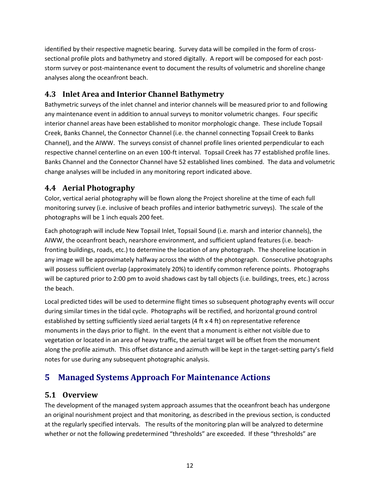identified by their respective magnetic bearing. Survey data will be compiled in the form of crosssectional profile plots and bathymetry and stored digitally. A report will be composed for each poststorm survey or post-maintenance event to document the results of volumetric and shoreline change analyses along the oceanfront beach.

#### **4.3 Inlet Area and Interior Channel Bathymetry**

Bathymetric surveys of the inlet channel and interior channels will be measured prior to and following any maintenance event in addition to annual surveys to monitor volumetric changes. Four specific interior channel areas have been established to monitor morphologic change. These include Topsail Creek, Banks Channel, the Connector Channel (i.e. the channel connecting Topsail Creek to Banks Channel), and the AIWW. The surveys consist of channel profile lines oriented perpendicular to each respective channel centerline on an even 100-ft interval. Topsail Creek has 77 established profile lines. Banks Channel and the Connector Channel have 52 established lines combined. The data and volumetric change analyses will be included in any monitoring report indicated above.

#### **4.4 Aerial Photography**

Color, vertical aerial photography will be flown along the Project shoreline at the time of each full monitoring survey (i.e. inclusive of beach profiles and interior bathymetric surveys). The scale of the photographs will be 1 inch equals 200 feet.

Each photograph will include New Topsail Inlet, Topsail Sound (i.e. marsh and interior channels), the AIWW, the oceanfront beach, nearshore environment, and sufficient upland features (i.e. beachfronting buildings, roads, etc.) to determine the location of any photograph. The shoreline location in any image will be approximately halfway across the width of the photograph. Consecutive photographs will possess sufficient overlap (approximately 20%) to identify common reference points. Photographs will be captured prior to 2:00 pm to avoid shadows cast by tall objects (i.e. buildings, trees, etc.) across the beach.

Local predicted tides will be used to determine flight times so subsequent photography events will occur during similar times in the tidal cycle. Photographs will be rectified, and horizontal ground control established by setting sufficiently sized aerial targets (4 ft x 4 ft) on representative reference monuments in the days prior to flight. In the event that a monument is either not visible due to vegetation or located in an area of heavy traffic, the aerial target will be offset from the monument along the profile azimuth. This offset distance and azimuth will be kept in the target-setting party's field notes for use during any subsequent photographic analysis.

# **5 Managed Systems Approach For Maintenance Actions**

#### **5.1 Overview**

The development of the managed system approach assumes that the oceanfront beach has undergone an original nourishment project and that monitoring, as described in the previous section, is conducted at the regularly specified intervals. The results of the monitoring plan will be analyzed to determine whether or not the following predetermined "thresholds" are exceeded. If these "thresholds" are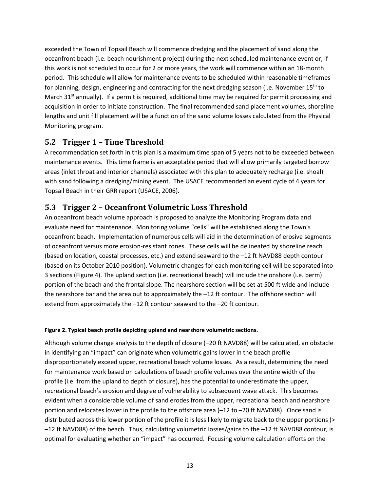exceeded the Town of Topsail Beach will commence dredging and the placement of sand along the oceanfront beach (i.e. beach nourishment project) during the next scheduled maintenance event or, if this work is not scheduled to occur for 2 or more years, the work will commence within an 18-month period. This schedule will allow for maintenance events to be scheduled within reasonable timeframes for planning, design, engineering and contracting for the next dredging season (i.e. November  $15<sup>th</sup>$  to March 31 $<sup>st</sup>$  annually). If a permit is required, additional time may be required for permit processing and</sup> acquisition in order to initiate construction. The final recommended sand placement volumes, shoreline lengths and unit fill placement will be a function of the sand volume losses calculated from the Physical Monitoring program.

#### **5.2 Trigger 1 – Time Threshold**

A recommendation set forth in this plan is a maximum time span of 5 years not to be exceeded between maintenance events. This time frame is an acceptable period that will allow primarily targeted borrow areas (inlet throat and interior channels) associated with this plan to adequately recharge (i.e. shoal) with sand following a dredging/mining event. The USACE recommended an event cycle of 4 years for Topsail Beach in their GRR report (USACE, 2006).

#### **5.3 Trigger 2 – Oceanfront Volumetric Loss Threshold**

An oceanfront beach volume approach is proposed to analyze the Monitoring Program data and evaluate need for maintenance. Monitoring volume "cells" will be established along the Town's oceanfront beach. Implementation of numerous cells will aid in the determination of erosive segments of oceanfront versus more erosion-resistant zones. These cells will be delineated by shoreline reach (based on location, coastal processes, etc.) and extend seaward to the –12 ft NAVD88 depth contour (based on its October 2010 position). Volumetric changes for each monitoring cell will be separated into 3 sections (Figure 4). The upland section (i.e. recreational beach) will include the onshore (i.e. berm) portion of the beach and the frontal slope. The nearshore section will be set at 500 ft wide and include the nearshore bar and the area out to approximately the –12 ft contour. The offshore section will extend from approximately the –12 ft contour seaward to the –20 ft contour.

#### **Figure 2. Typical beach profile depicting upland and nearshore volumetric sections.**

Although volume change analysis to the depth of closure (–20 ft NAVD88) will be calculated, an obstacle in identifying an "impact" can originate when volumetric gains lower in the beach profile disproportionately exceed upper, recreational beach volume losses. As a result, determining the need for maintenance work based on calculations of beach profile volumes over the entire width of the profile (i.e. from the upland to depth of closure), has the potential to underestimate the upper, recreational beach's erosion and degree of vulnerability to subsequent wave attack. This becomes evident when a considerable volume of sand erodes from the upper, recreational beach and nearshore portion and relocates lower in the profile to the offshore area (-12 to -20 ft NAVD88). Once sand is distributed across this lower portion of the profile it is less likely to migrate back to the upper portions (> –12 ft NAVD88) of the beach. Thus, calculating volumetric losses/gains to the –12 ft NAVD88 contour, is optimal for evaluating whether an "impact" has occurred. Focusing volume calculation efforts on the